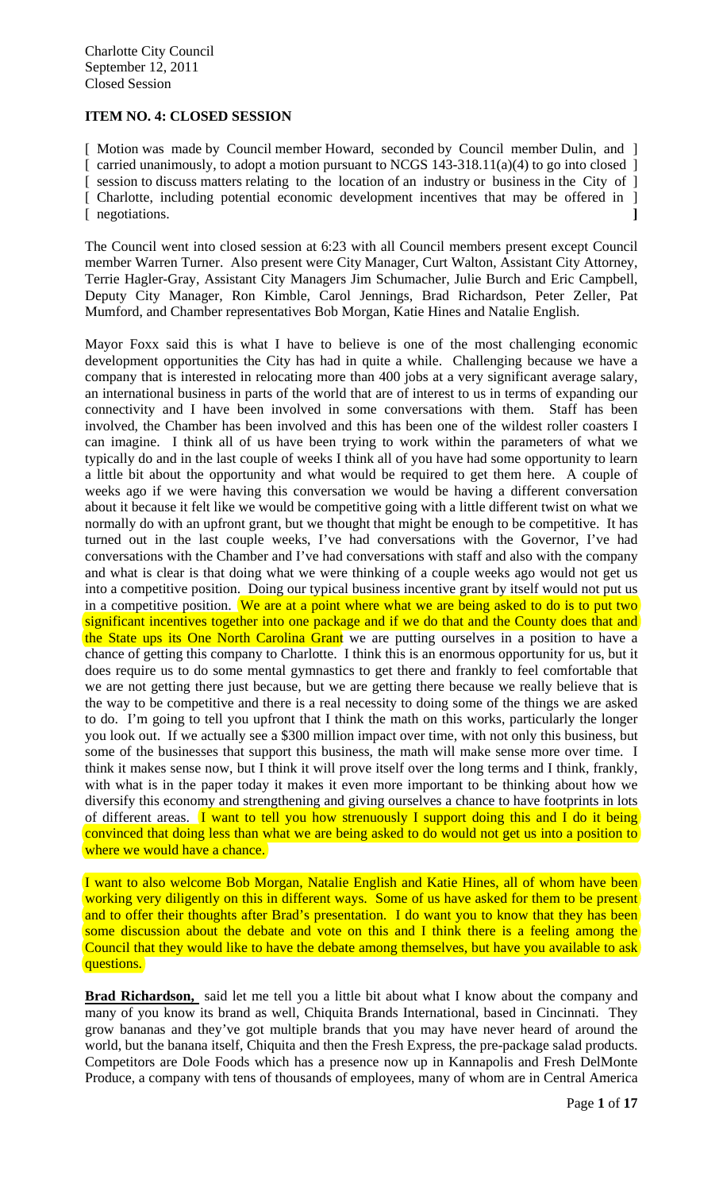## **ITEM NO. 4: CLOSED SESSION**

[ Motion was made by Council member Howard, seconded by Council member Dulin, and ] [ carried unanimously, to adopt a motion pursuant to NCGS 143-318.11(a)(4) to go into closed ] [ session to discuss matters relating to the location of an industry or business in the City of ] [ Charlotte, including potential economic development incentives that may be offered in ] [ negotiations. **]** 

The Council went into closed session at 6:23 with all Council members present except Council member Warren Turner. Also present were City Manager, Curt Walton, Assistant City Attorney, Terrie Hagler-Gray, Assistant City Managers Jim Schumacher, Julie Burch and Eric Campbell, Deputy City Manager, Ron Kimble, Carol Jennings, Brad Richardson, Peter Zeller, Pat Mumford, and Chamber representatives Bob Morgan, Katie Hines and Natalie English.

Mayor Foxx said this is what I have to believe is one of the most challenging economic development opportunities the City has had in quite a while. Challenging because we have a company that is interested in relocating more than 400 jobs at a very significant average salary, an international business in parts of the world that are of interest to us in terms of expanding our connectivity and I have been involved in some conversations with them. Staff has been involved, the Chamber has been involved and this has been one of the wildest roller coasters I can imagine. I think all of us have been trying to work within the parameters of what we typically do and in the last couple of weeks I think all of you have had some opportunity to learn a little bit about the opportunity and what would be required to get them here. A couple of weeks ago if we were having this conversation we would be having a different conversation about it because it felt like we would be competitive going with a little different twist on what we normally do with an upfront grant, but we thought that might be enough to be competitive. It has turned out in the last couple weeks, I've had conversations with the Governor, I've had conversations with the Chamber and I've had conversations with staff and also with the company and what is clear is that doing what we were thinking of a couple weeks ago would not get us into a competitive position. Doing our typical business incentive grant by itself would not put us in a competitive position. We are at a point where what we are being asked to do is to put two significant incentives together into one package and if we do that and the County does that and the State ups its One North Carolina Grant we are putting ourselves in a position to have a chance of getting this company to Charlotte. I think this is an enormous opportunity for us, but it does require us to do some mental gymnastics to get there and frankly to feel comfortable that we are not getting there just because, but we are getting there because we really believe that is the way to be competitive and there is a real necessity to doing some of the things we are asked to do. I'm going to tell you upfront that I think the math on this works, particularly the longer you look out. If we actually see a \$300 million impact over time, with not only this business, but some of the businesses that support this business, the math will make sense more over time. I think it makes sense now, but I think it will prove itself over the long terms and I think, frankly, with what is in the paper today it makes it even more important to be thinking about how we diversify this economy and strengthening and giving ourselves a chance to have footprints in lots of different areas. I want to tell you how strenuously I support doing this and I do it being convinced that doing less than what we are being asked to do would not get us into a position to where we would have a chance.

I want to also welcome Bob Morgan, Natalie English and Katie Hines, all of whom have been working very diligently on this in different ways. Some of us have asked for them to be present and to offer their thoughts after Brad's presentation. I do want you to know that they has been some discussion about the debate and vote on this and I think there is a feeling among the Council that they would like to have the debate among themselves, but have you available to ask questions.

**Brad Richardson,** said let me tell you a little bit about what I know about the company and many of you know its brand as well, Chiquita Brands International, based in Cincinnati. They grow bananas and they've got multiple brands that you may have never heard of around the world, but the banana itself, Chiquita and then the Fresh Express, the pre-package salad products. Competitors are Dole Foods which has a presence now up in Kannapolis and Fresh DelMonte Produce, a company with tens of thousands of employees, many of whom are in Central America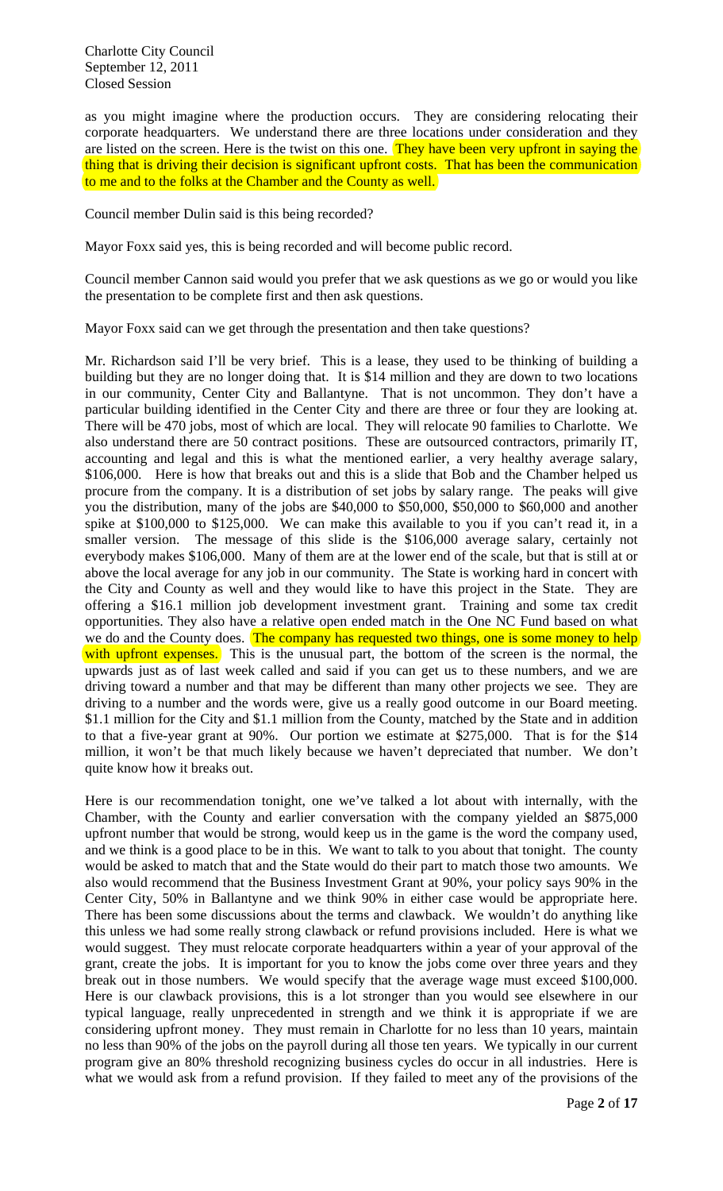as you might imagine where the production occurs. They are considering relocating their corporate headquarters. We understand there are three locations under consideration and they are listed on the screen. Here is the twist on this one. They have been very upfront in saying the thing that is driving their decision is significant upfront costs. That has been the communication to me and to the folks at the Chamber and the County as well.

Council member Dulin said is this being recorded?

Mayor Foxx said yes, this is being recorded and will become public record.

Council member Cannon said would you prefer that we ask questions as we go or would you like the presentation to be complete first and then ask questions.

Mayor Foxx said can we get through the presentation and then take questions?

Mr. Richardson said I'll be very brief. This is a lease, they used to be thinking of building a building but they are no longer doing that. It is \$14 million and they are down to two locations in our community, Center City and Ballantyne. That is not uncommon. They don't have a particular building identified in the Center City and there are three or four they are looking at. There will be 470 jobs, most of which are local. They will relocate 90 families to Charlotte. We also understand there are 50 contract positions. These are outsourced contractors, primarily IT, accounting and legal and this is what the mentioned earlier, a very healthy average salary, \$106,000. Here is how that breaks out and this is a slide that Bob and the Chamber helped us procure from the company. It is a distribution of set jobs by salary range. The peaks will give you the distribution, many of the jobs are \$40,000 to \$50,000, \$50,000 to \$60,000 and another spike at \$100,000 to \$125,000. We can make this available to you if you can't read it, in a smaller version. The message of this slide is the \$106,000 average salary, certainly not everybody makes \$106,000. Many of them are at the lower end of the scale, but that is still at or above the local average for any job in our community. The State is working hard in concert with the City and County as well and they would like to have this project in the State. They are offering a \$16.1 million job development investment grant. Training and some tax credit opportunities. They also have a relative open ended match in the One NC Fund based on what we do and the County does. The company has requested two things, one is some money to help with upfront expenses. This is the unusual part, the bottom of the screen is the normal, the upwards just as of last week called and said if you can get us to these numbers, and we are driving toward a number and that may be different than many other projects we see. They are driving to a number and the words were, give us a really good outcome in our Board meeting. \$1.1 million for the City and \$1.1 million from the County, matched by the State and in addition to that a five-year grant at 90%. Our portion we estimate at \$275,000. That is for the \$14 million, it won't be that much likely because we haven't depreciated that number. We don't quite know how it breaks out.

Here is our recommendation tonight, one we've talked a lot about with internally, with the Chamber, with the County and earlier conversation with the company yielded an \$875,000 upfront number that would be strong, would keep us in the game is the word the company used, and we think is a good place to be in this. We want to talk to you about that tonight. The county would be asked to match that and the State would do their part to match those two amounts. We also would recommend that the Business Investment Grant at 90%, your policy says 90% in the Center City, 50% in Ballantyne and we think 90% in either case would be appropriate here. There has been some discussions about the terms and clawback. We wouldn't do anything like this unless we had some really strong clawback or refund provisions included. Here is what we would suggest. They must relocate corporate headquarters within a year of your approval of the grant, create the jobs. It is important for you to know the jobs come over three years and they break out in those numbers. We would specify that the average wage must exceed \$100,000. Here is our clawback provisions, this is a lot stronger than you would see elsewhere in our typical language, really unprecedented in strength and we think it is appropriate if we are considering upfront money. They must remain in Charlotte for no less than 10 years, maintain no less than 90% of the jobs on the payroll during all those ten years. We typically in our current program give an 80% threshold recognizing business cycles do occur in all industries. Here is what we would ask from a refund provision. If they failed to meet any of the provisions of the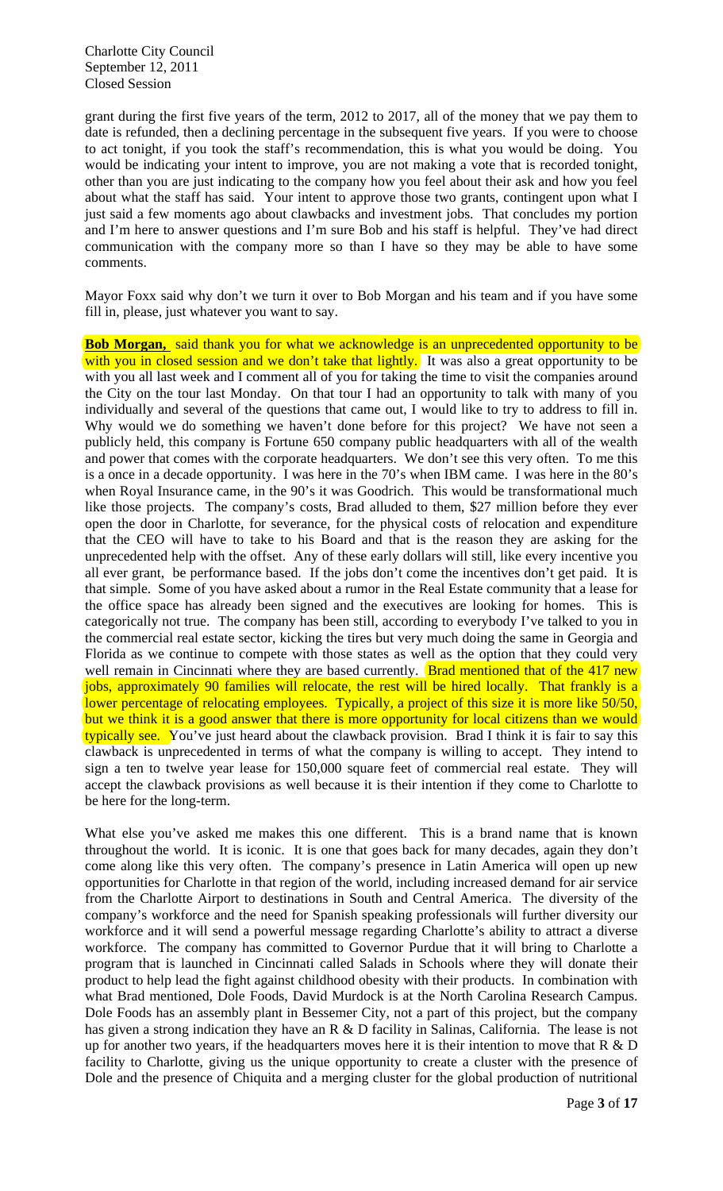grant during the first five years of the term, 2012 to 2017, all of the money that we pay them to date is refunded, then a declining percentage in the subsequent five years. If you were to choose to act tonight, if you took the staff's recommendation, this is what you would be doing. You would be indicating your intent to improve, you are not making a vote that is recorded tonight, other than you are just indicating to the company how you feel about their ask and how you feel about what the staff has said. Your intent to approve those two grants, contingent upon what I just said a few moments ago about clawbacks and investment jobs. That concludes my portion and I'm here to answer questions and I'm sure Bob and his staff is helpful. They've had direct communication with the company more so than I have so they may be able to have some comments.

Mayor Foxx said why don't we turn it over to Bob Morgan and his team and if you have some fill in, please, just whatever you want to say.

**Bob Morgan,** said thank you for what we acknowledge is an unprecedented opportunity to be with you in closed session and we don't take that lightly. It was also a great opportunity to be with you all last week and I comment all of you for taking the time to visit the companies around the City on the tour last Monday. On that tour I had an opportunity to talk with many of you individually and several of the questions that came out, I would like to try to address to fill in. Why would we do something we haven't done before for this project? We have not seen a publicly held, this company is Fortune 650 company public headquarters with all of the wealth and power that comes with the corporate headquarters. We don't see this very often. To me this is a once in a decade opportunity. I was here in the 70's when IBM came. I was here in the 80's when Royal Insurance came, in the 90's it was Goodrich. This would be transformational much like those projects. The company's costs, Brad alluded to them, \$27 million before they ever open the door in Charlotte, for severance, for the physical costs of relocation and expenditure that the CEO will have to take to his Board and that is the reason they are asking for the unprecedented help with the offset. Any of these early dollars will still, like every incentive you all ever grant, be performance based. If the jobs don't come the incentives don't get paid. It is that simple. Some of you have asked about a rumor in the Real Estate community that a lease for the office space has already been signed and the executives are looking for homes. This is categorically not true. The company has been still, according to everybody I've talked to you in the commercial real estate sector, kicking the tires but very much doing the same in Georgia and Florida as we continue to compete with those states as well as the option that they could very well remain in Cincinnati where they are based currently. **Brad mentioned that of the 417 new** jobs, approximately 90 families will relocate, the rest will be hired locally. That frankly is a lower percentage of relocating employees. Typically, a project of this size it is more like 50/50, but we think it is a good answer that there is more opportunity for local citizens than we would typically see. You've just heard about the clawback provision. Brad I think it is fair to say this clawback is unprecedented in terms of what the company is willing to accept. They intend to sign a ten to twelve year lease for 150,000 square feet of commercial real estate. They will accept the clawback provisions as well because it is their intention if they come to Charlotte to be here for the long-term.

What else you've asked me makes this one different. This is a brand name that is known throughout the world. It is iconic. It is one that goes back for many decades, again they don't come along like this very often. The company's presence in Latin America will open up new opportunities for Charlotte in that region of the world, including increased demand for air service from the Charlotte Airport to destinations in South and Central America. The diversity of the company's workforce and the need for Spanish speaking professionals will further diversity our workforce and it will send a powerful message regarding Charlotte's ability to attract a diverse workforce. The company has committed to Governor Purdue that it will bring to Charlotte a program that is launched in Cincinnati called Salads in Schools where they will donate their product to help lead the fight against childhood obesity with their products. In combination with what Brad mentioned, Dole Foods, David Murdock is at the North Carolina Research Campus. Dole Foods has an assembly plant in Bessemer City, not a part of this project, but the company has given a strong indication they have an R & D facility in Salinas, California. The lease is not up for another two years, if the headquarters moves here it is their intention to move that  $R \& D$ facility to Charlotte, giving us the unique opportunity to create a cluster with the presence of Dole and the presence of Chiquita and a merging cluster for the global production of nutritional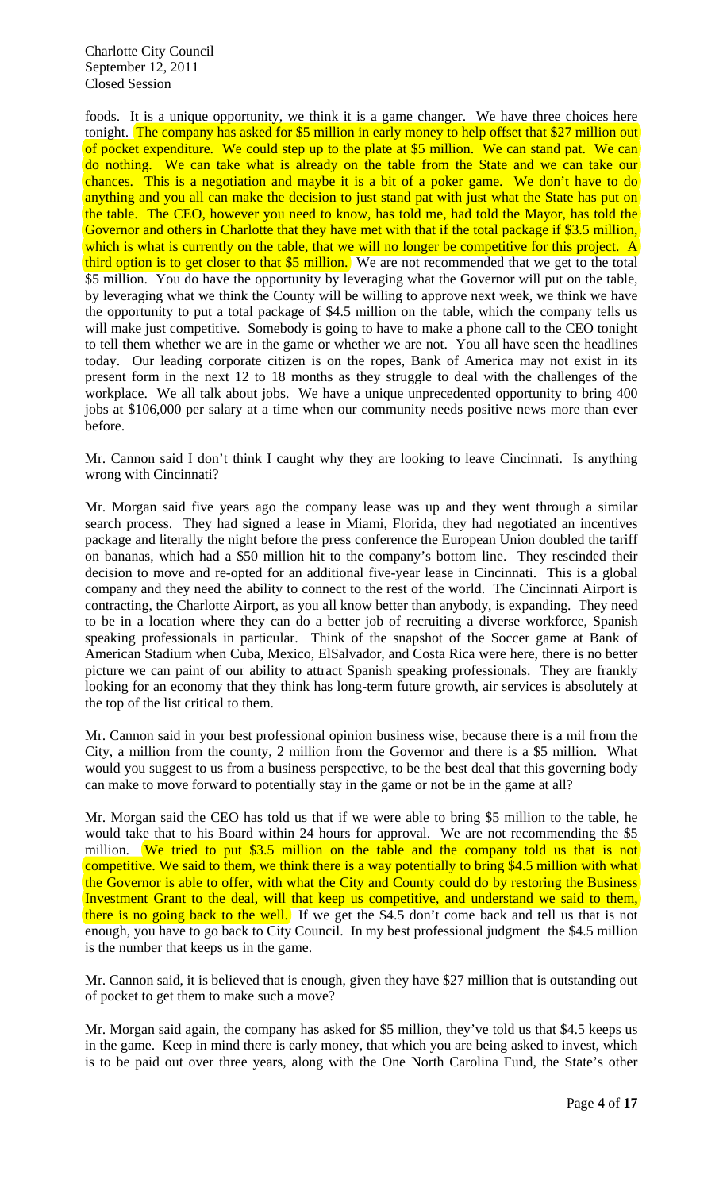foods. It is a unique opportunity, we think it is a game changer. We have three choices here tonight. The company has asked for \$5 million in early money to help offset that \$27 million out of pocket expenditure. We could step up to the plate at \$5 million. We can stand pat. We can do nothing. We can take what is already on the table from the State and we can take our chances. This is a negotiation and maybe it is a bit of a poker game. We don't have to do anything and you all can make the decision to just stand pat with just what the State has put on the table. The CEO, however you need to know, has told me, had told the Mayor, has told the Governor and others in Charlotte that they have met with that if the total package if \$3.5 million, which is what is currently on the table, that we will no longer be competitive for this project. A third option is to get closer to that \$5 million. We are not recommended that we get to the total \$5 million. You do have the opportunity by leveraging what the Governor will put on the table, by leveraging what we think the County will be willing to approve next week, we think we have the opportunity to put a total package of \$4.5 million on the table, which the company tells us will make just competitive. Somebody is going to have to make a phone call to the CEO tonight to tell them whether we are in the game or whether we are not. You all have seen the headlines today. Our leading corporate citizen is on the ropes, Bank of America may not exist in its present form in the next 12 to 18 months as they struggle to deal with the challenges of the workplace. We all talk about jobs. We have a unique unprecedented opportunity to bring 400 jobs at \$106,000 per salary at a time when our community needs positive news more than ever before.

Mr. Cannon said I don't think I caught why they are looking to leave Cincinnati. Is anything wrong with Cincinnati?

Mr. Morgan said five years ago the company lease was up and they went through a similar search process. They had signed a lease in Miami, Florida, they had negotiated an incentives package and literally the night before the press conference the European Union doubled the tariff on bananas, which had a \$50 million hit to the company's bottom line. They rescinded their decision to move and re-opted for an additional five-year lease in Cincinnati. This is a global company and they need the ability to connect to the rest of the world. The Cincinnati Airport is contracting, the Charlotte Airport, as you all know better than anybody, is expanding. They need to be in a location where they can do a better job of recruiting a diverse workforce, Spanish speaking professionals in particular. Think of the snapshot of the Soccer game at Bank of American Stadium when Cuba, Mexico, ElSalvador, and Costa Rica were here, there is no better picture we can paint of our ability to attract Spanish speaking professionals. They are frankly looking for an economy that they think has long-term future growth, air services is absolutely at the top of the list critical to them.

Mr. Cannon said in your best professional opinion business wise, because there is a mil from the City, a million from the county, 2 million from the Governor and there is a \$5 million. What would you suggest to us from a business perspective, to be the best deal that this governing body can make to move forward to potentially stay in the game or not be in the game at all?

Mr. Morgan said the CEO has told us that if we were able to bring \$5 million to the table, he would take that to his Board within 24 hours for approval. We are not recommending the \$5 million. We tried to put \$3.5 million on the table and the company told us that is not competitive. We said to them, we think there is a way potentially to bring \$4.5 million with what the Governor is able to offer, with what the City and County could do by restoring the Business Investment Grant to the deal, will that keep us competitive, and understand we said to them, there is no going back to the well. If we get the \$4.5 don't come back and tell us that is not enough, you have to go back to City Council. In my best professional judgment the \$4.5 million is the number that keeps us in the game.

Mr. Cannon said, it is believed that is enough, given they have \$27 million that is outstanding out of pocket to get them to make such a move?

Mr. Morgan said again, the company has asked for \$5 million, they've told us that \$4.5 keeps us in the game. Keep in mind there is early money, that which you are being asked to invest, which is to be paid out over three years, along with the One North Carolina Fund, the State's other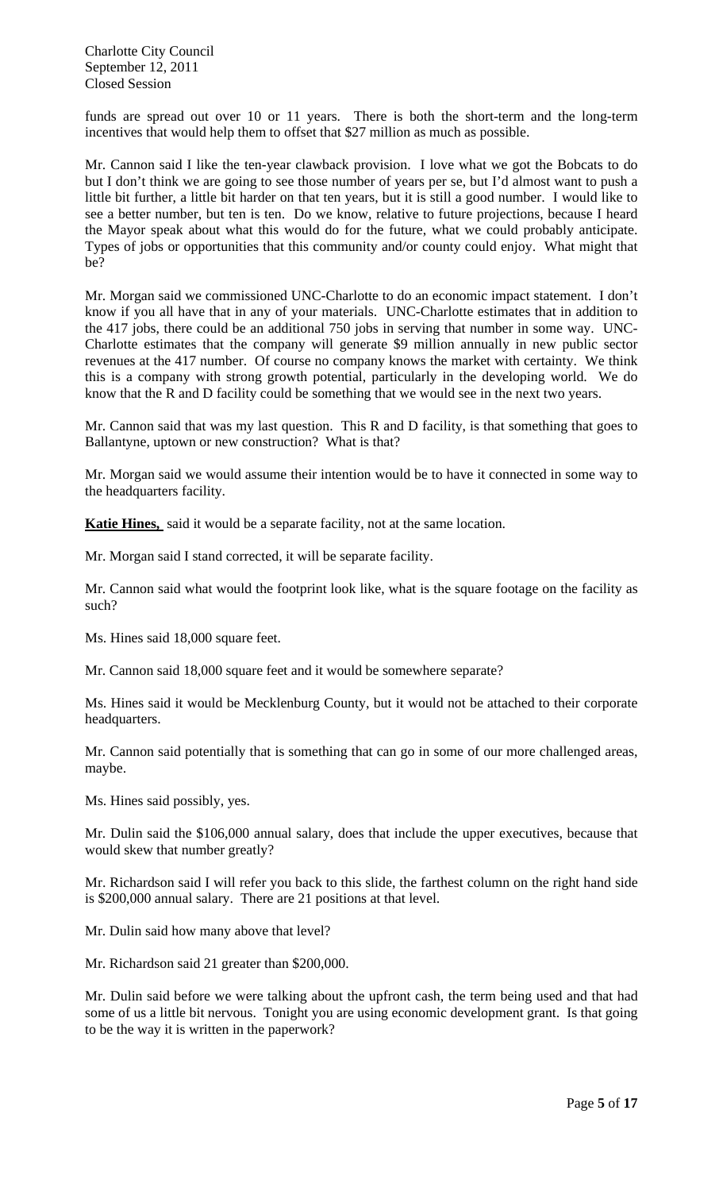funds are spread out over 10 or 11 years. There is both the short-term and the long-term incentives that would help them to offset that \$27 million as much as possible.

Mr. Cannon said I like the ten-year clawback provision. I love what we got the Bobcats to do but I don't think we are going to see those number of years per se, but I'd almost want to push a little bit further, a little bit harder on that ten years, but it is still a good number. I would like to see a better number, but ten is ten. Do we know, relative to future projections, because I heard the Mayor speak about what this would do for the future, what we could probably anticipate. Types of jobs or opportunities that this community and/or county could enjoy. What might that be?

Mr. Morgan said we commissioned UNC-Charlotte to do an economic impact statement. I don't know if you all have that in any of your materials. UNC-Charlotte estimates that in addition to the 417 jobs, there could be an additional 750 jobs in serving that number in some way. UNC-Charlotte estimates that the company will generate \$9 million annually in new public sector revenues at the 417 number. Of course no company knows the market with certainty. We think this is a company with strong growth potential, particularly in the developing world. We do know that the R and D facility could be something that we would see in the next two years.

Mr. Cannon said that was my last question. This R and D facility, is that something that goes to Ballantyne, uptown or new construction? What is that?

Mr. Morgan said we would assume their intention would be to have it connected in some way to the headquarters facility.

**Katie Hines,** said it would be a separate facility, not at the same location.

Mr. Morgan said I stand corrected, it will be separate facility.

Mr. Cannon said what would the footprint look like, what is the square footage on the facility as such?

Ms. Hines said 18,000 square feet.

Mr. Cannon said 18,000 square feet and it would be somewhere separate?

Ms. Hines said it would be Mecklenburg County, but it would not be attached to their corporate headquarters.

Mr. Cannon said potentially that is something that can go in some of our more challenged areas, maybe.

Ms. Hines said possibly, yes.

Mr. Dulin said the \$106,000 annual salary, does that include the upper executives, because that would skew that number greatly?

Mr. Richardson said I will refer you back to this slide, the farthest column on the right hand side is \$200,000 annual salary. There are 21 positions at that level.

Mr. Dulin said how many above that level?

Mr. Richardson said 21 greater than \$200,000.

Mr. Dulin said before we were talking about the upfront cash, the term being used and that had some of us a little bit nervous. Tonight you are using economic development grant. Is that going to be the way it is written in the paperwork?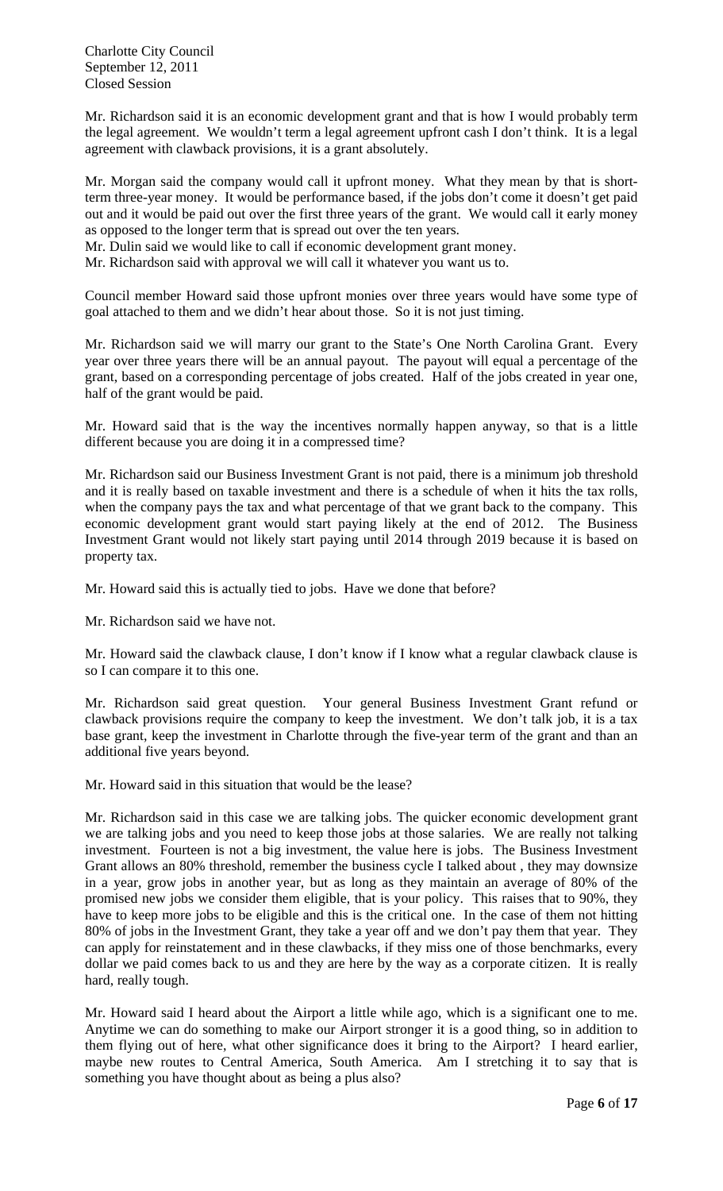Mr. Richardson said it is an economic development grant and that is how I would probably term the legal agreement. We wouldn't term a legal agreement upfront cash I don't think. It is a legal agreement with clawback provisions, it is a grant absolutely.

Mr. Morgan said the company would call it upfront money. What they mean by that is shortterm three-year money. It would be performance based, if the jobs don't come it doesn't get paid out and it would be paid out over the first three years of the grant. We would call it early money as opposed to the longer term that is spread out over the ten years.

Mr. Dulin said we would like to call if economic development grant money.

Mr. Richardson said with approval we will call it whatever you want us to.

Council member Howard said those upfront monies over three years would have some type of goal attached to them and we didn't hear about those. So it is not just timing.

Mr. Richardson said we will marry our grant to the State's One North Carolina Grant. Every year over three years there will be an annual payout. The payout will equal a percentage of the grant, based on a corresponding percentage of jobs created. Half of the jobs created in year one, half of the grant would be paid.

Mr. Howard said that is the way the incentives normally happen anyway, so that is a little different because you are doing it in a compressed time?

Mr. Richardson said our Business Investment Grant is not paid, there is a minimum job threshold and it is really based on taxable investment and there is a schedule of when it hits the tax rolls, when the company pays the tax and what percentage of that we grant back to the company. This economic development grant would start paying likely at the end of 2012. The Business Investment Grant would not likely start paying until 2014 through 2019 because it is based on property tax.

Mr. Howard said this is actually tied to jobs. Have we done that before?

Mr. Richardson said we have not.

Mr. Howard said the clawback clause, I don't know if I know what a regular clawback clause is so I can compare it to this one.

Mr. Richardson said great question. Your general Business Investment Grant refund or clawback provisions require the company to keep the investment. We don't talk job, it is a tax base grant, keep the investment in Charlotte through the five-year term of the grant and than an additional five years beyond.

Mr. Howard said in this situation that would be the lease?

Mr. Richardson said in this case we are talking jobs. The quicker economic development grant we are talking jobs and you need to keep those jobs at those salaries. We are really not talking investment. Fourteen is not a big investment, the value here is jobs. The Business Investment Grant allows an 80% threshold, remember the business cycle I talked about , they may downsize in a year, grow jobs in another year, but as long as they maintain an average of 80% of the promised new jobs we consider them eligible, that is your policy. This raises that to 90%, they have to keep more jobs to be eligible and this is the critical one. In the case of them not hitting 80% of jobs in the Investment Grant, they take a year off and we don't pay them that year. They can apply for reinstatement and in these clawbacks, if they miss one of those benchmarks, every dollar we paid comes back to us and they are here by the way as a corporate citizen. It is really hard, really tough.

Mr. Howard said I heard about the Airport a little while ago, which is a significant one to me. Anytime we can do something to make our Airport stronger it is a good thing, so in addition to them flying out of here, what other significance does it bring to the Airport? I heard earlier, maybe new routes to Central America, South America. Am I stretching it to say that is something you have thought about as being a plus also?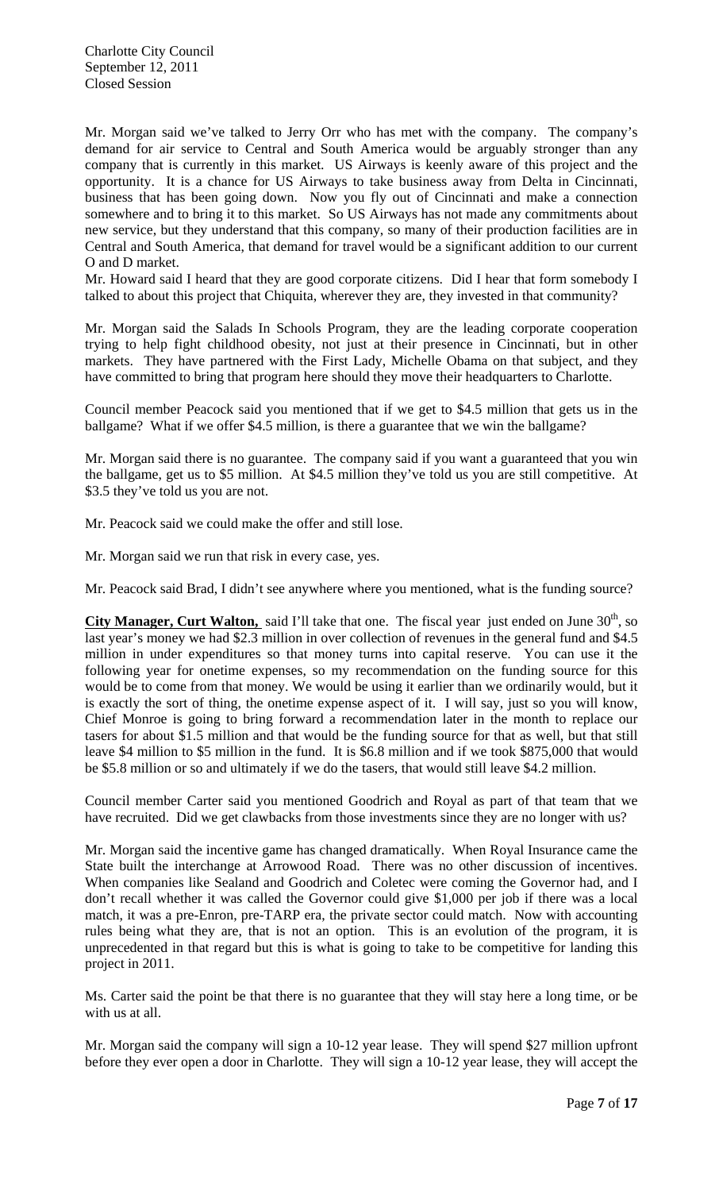Mr. Morgan said we've talked to Jerry Orr who has met with the company. The company's demand for air service to Central and South America would be arguably stronger than any company that is currently in this market. US Airways is keenly aware of this project and the opportunity. It is a chance for US Airways to take business away from Delta in Cincinnati, business that has been going down. Now you fly out of Cincinnati and make a connection somewhere and to bring it to this market. So US Airways has not made any commitments about new service, but they understand that this company, so many of their production facilities are in Central and South America, that demand for travel would be a significant addition to our current O and D market.

Mr. Howard said I heard that they are good corporate citizens. Did I hear that form somebody I talked to about this project that Chiquita, wherever they are, they invested in that community?

Mr. Morgan said the Salads In Schools Program, they are the leading corporate cooperation trying to help fight childhood obesity, not just at their presence in Cincinnati, but in other markets. They have partnered with the First Lady, Michelle Obama on that subject, and they have committed to bring that program here should they move their headquarters to Charlotte.

Council member Peacock said you mentioned that if we get to \$4.5 million that gets us in the ballgame? What if we offer \$4.5 million, is there a guarantee that we win the ballgame?

Mr. Morgan said there is no guarantee. The company said if you want a guaranteed that you win the ballgame, get us to \$5 million. At \$4.5 million they've told us you are still competitive. At \$3.5 they've told us you are not.

Mr. Peacock said we could make the offer and still lose.

Mr. Morgan said we run that risk in every case, yes.

Mr. Peacock said Brad, I didn't see anywhere where you mentioned, what is the funding source?

City Manager, Curt Walton, said I'll take that one. The fiscal year just ended on June 30<sup>th</sup>, so last year's money we had \$2.3 million in over collection of revenues in the general fund and \$4.5 million in under expenditures so that money turns into capital reserve. You can use it the following year for onetime expenses, so my recommendation on the funding source for this would be to come from that money. We would be using it earlier than we ordinarily would, but it is exactly the sort of thing, the onetime expense aspect of it. I will say, just so you will know, Chief Monroe is going to bring forward a recommendation later in the month to replace our tasers for about \$1.5 million and that would be the funding source for that as well, but that still leave \$4 million to \$5 million in the fund. It is \$6.8 million and if we took \$875,000 that would be \$5.8 million or so and ultimately if we do the tasers, that would still leave \$4.2 million.

Council member Carter said you mentioned Goodrich and Royal as part of that team that we have recruited. Did we get clawbacks from those investments since they are no longer with us?

Mr. Morgan said the incentive game has changed dramatically. When Royal Insurance came the State built the interchange at Arrowood Road. There was no other discussion of incentives. When companies like Sealand and Goodrich and Coletec were coming the Governor had, and I don't recall whether it was called the Governor could give \$1,000 per job if there was a local match, it was a pre-Enron, pre-TARP era, the private sector could match. Now with accounting rules being what they are, that is not an option. This is an evolution of the program, it is unprecedented in that regard but this is what is going to take to be competitive for landing this project in 2011.

Ms. Carter said the point be that there is no guarantee that they will stay here a long time, or be with us at all.

Mr. Morgan said the company will sign a 10-12 year lease. They will spend \$27 million upfront before they ever open a door in Charlotte. They will sign a 10-12 year lease, they will accept the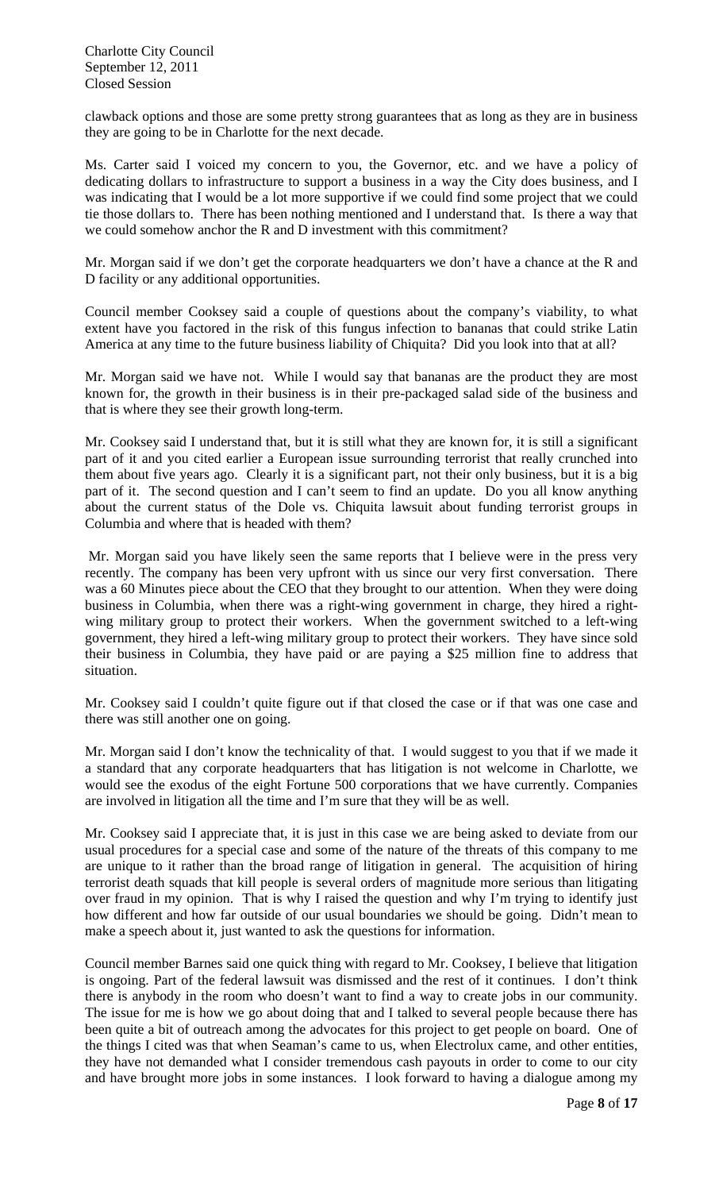clawback options and those are some pretty strong guarantees that as long as they are in business they are going to be in Charlotte for the next decade.

Ms. Carter said I voiced my concern to you, the Governor, etc. and we have a policy of dedicating dollars to infrastructure to support a business in a way the City does business, and I was indicating that I would be a lot more supportive if we could find some project that we could tie those dollars to. There has been nothing mentioned and I understand that. Is there a way that we could somehow anchor the R and D investment with this commitment?

Mr. Morgan said if we don't get the corporate headquarters we don't have a chance at the R and D facility or any additional opportunities.

Council member Cooksey said a couple of questions about the company's viability, to what extent have you factored in the risk of this fungus infection to bananas that could strike Latin America at any time to the future business liability of Chiquita? Did you look into that at all?

Mr. Morgan said we have not. While I would say that bananas are the product they are most known for, the growth in their business is in their pre-packaged salad side of the business and that is where they see their growth long-term.

Mr. Cooksey said I understand that, but it is still what they are known for, it is still a significant part of it and you cited earlier a European issue surrounding terrorist that really crunched into them about five years ago. Clearly it is a significant part, not their only business, but it is a big part of it. The second question and I can't seem to find an update. Do you all know anything about the current status of the Dole vs. Chiquita lawsuit about funding terrorist groups in Columbia and where that is headed with them?

 Mr. Morgan said you have likely seen the same reports that I believe were in the press very recently. The company has been very upfront with us since our very first conversation. There was a 60 Minutes piece about the CEO that they brought to our attention. When they were doing business in Columbia, when there was a right-wing government in charge, they hired a rightwing military group to protect their workers. When the government switched to a left-wing government, they hired a left-wing military group to protect their workers. They have since sold their business in Columbia, they have paid or are paying a \$25 million fine to address that situation.

Mr. Cooksey said I couldn't quite figure out if that closed the case or if that was one case and there was still another one on going.

Mr. Morgan said I don't know the technicality of that. I would suggest to you that if we made it a standard that any corporate headquarters that has litigation is not welcome in Charlotte, we would see the exodus of the eight Fortune 500 corporations that we have currently. Companies are involved in litigation all the time and I'm sure that they will be as well.

Mr. Cooksey said I appreciate that, it is just in this case we are being asked to deviate from our usual procedures for a special case and some of the nature of the threats of this company to me are unique to it rather than the broad range of litigation in general. The acquisition of hiring terrorist death squads that kill people is several orders of magnitude more serious than litigating over fraud in my opinion. That is why I raised the question and why I'm trying to identify just how different and how far outside of our usual boundaries we should be going. Didn't mean to make a speech about it, just wanted to ask the questions for information.

Council member Barnes said one quick thing with regard to Mr. Cooksey, I believe that litigation is ongoing. Part of the federal lawsuit was dismissed and the rest of it continues. I don't think there is anybody in the room who doesn't want to find a way to create jobs in our community. The issue for me is how we go about doing that and I talked to several people because there has been quite a bit of outreach among the advocates for this project to get people on board. One of the things I cited was that when Seaman's came to us, when Electrolux came, and other entities, they have not demanded what I consider tremendous cash payouts in order to come to our city and have brought more jobs in some instances. I look forward to having a dialogue among my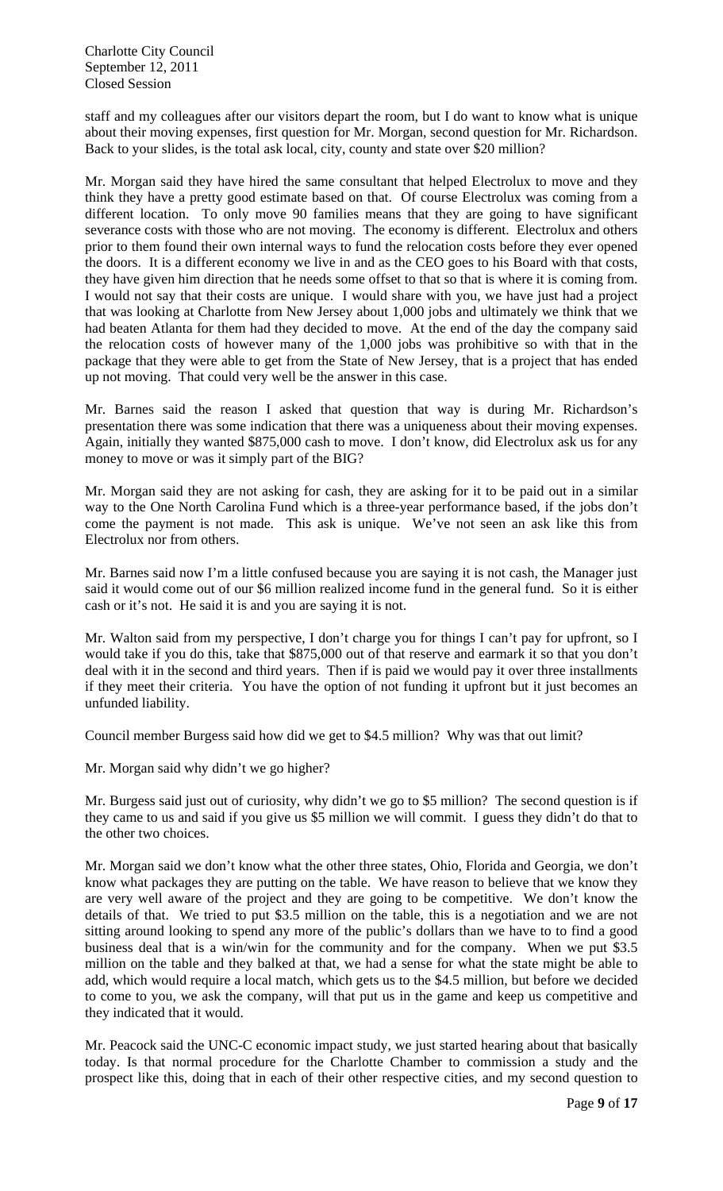staff and my colleagues after our visitors depart the room, but I do want to know what is unique about their moving expenses, first question for Mr. Morgan, second question for Mr. Richardson. Back to your slides, is the total ask local, city, county and state over \$20 million?

Mr. Morgan said they have hired the same consultant that helped Electrolux to move and they think they have a pretty good estimate based on that. Of course Electrolux was coming from a different location. To only move 90 families means that they are going to have significant severance costs with those who are not moving. The economy is different. Electrolux and others prior to them found their own internal ways to fund the relocation costs before they ever opened the doors. It is a different economy we live in and as the CEO goes to his Board with that costs, they have given him direction that he needs some offset to that so that is where it is coming from. I would not say that their costs are unique. I would share with you, we have just had a project that was looking at Charlotte from New Jersey about 1,000 jobs and ultimately we think that we had beaten Atlanta for them had they decided to move. At the end of the day the company said the relocation costs of however many of the 1,000 jobs was prohibitive so with that in the package that they were able to get from the State of New Jersey, that is a project that has ended up not moving. That could very well be the answer in this case.

Mr. Barnes said the reason I asked that question that way is during Mr. Richardson's presentation there was some indication that there was a uniqueness about their moving expenses. Again, initially they wanted \$875,000 cash to move. I don't know, did Electrolux ask us for any money to move or was it simply part of the BIG?

Mr. Morgan said they are not asking for cash, they are asking for it to be paid out in a similar way to the One North Carolina Fund which is a three-year performance based, if the jobs don't come the payment is not made. This ask is unique. We've not seen an ask like this from Electrolux nor from others.

Mr. Barnes said now I'm a little confused because you are saying it is not cash, the Manager just said it would come out of our \$6 million realized income fund in the general fund. So it is either cash or it's not. He said it is and you are saying it is not.

Mr. Walton said from my perspective, I don't charge you for things I can't pay for upfront, so I would take if you do this, take that \$875,000 out of that reserve and earmark it so that you don't deal with it in the second and third years. Then if is paid we would pay it over three installments if they meet their criteria. You have the option of not funding it upfront but it just becomes an unfunded liability.

Council member Burgess said how did we get to \$4.5 million? Why was that out limit?

Mr. Morgan said why didn't we go higher?

Mr. Burgess said just out of curiosity, why didn't we go to \$5 million? The second question is if they came to us and said if you give us \$5 million we will commit. I guess they didn't do that to the other two choices.

Mr. Morgan said we don't know what the other three states, Ohio, Florida and Georgia, we don't know what packages they are putting on the table. We have reason to believe that we know they are very well aware of the project and they are going to be competitive. We don't know the details of that. We tried to put \$3.5 million on the table, this is a negotiation and we are not sitting around looking to spend any more of the public's dollars than we have to to find a good business deal that is a win/win for the community and for the company. When we put \$3.5 million on the table and they balked at that, we had a sense for what the state might be able to add, which would require a local match, which gets us to the \$4.5 million, but before we decided to come to you, we ask the company, will that put us in the game and keep us competitive and they indicated that it would.

Mr. Peacock said the UNC-C economic impact study, we just started hearing about that basically today. Is that normal procedure for the Charlotte Chamber to commission a study and the prospect like this, doing that in each of their other respective cities, and my second question to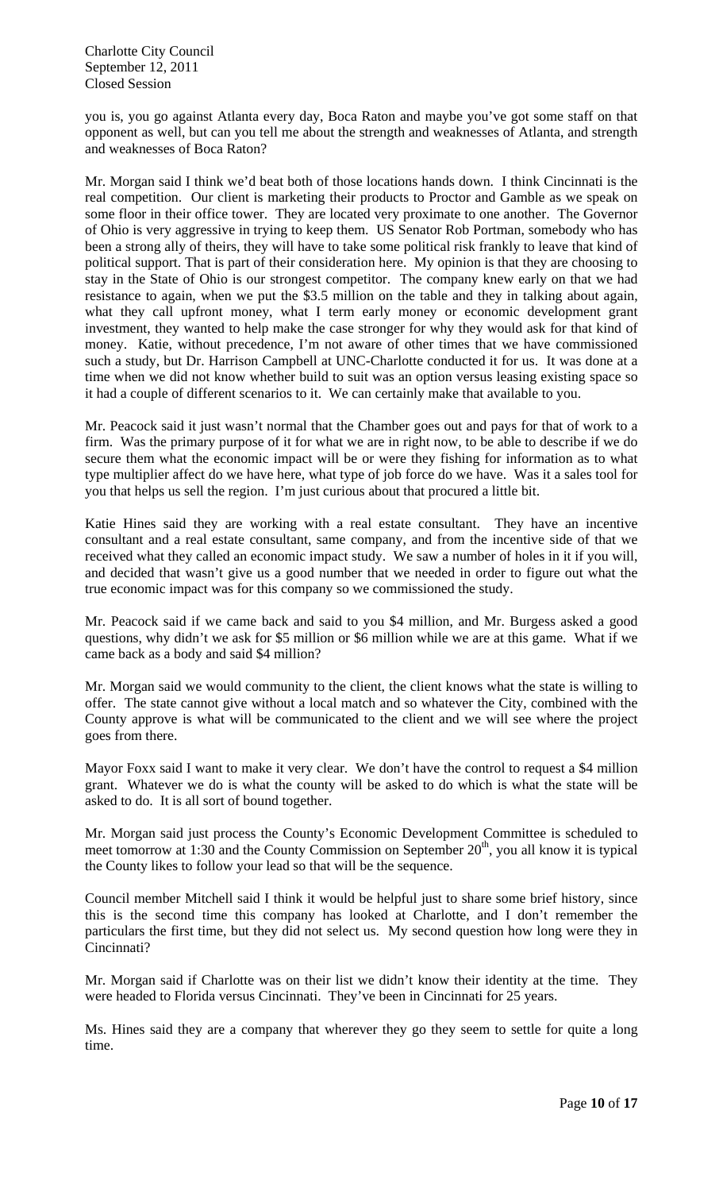you is, you go against Atlanta every day, Boca Raton and maybe you've got some staff on that opponent as well, but can you tell me about the strength and weaknesses of Atlanta, and strength and weaknesses of Boca Raton?

Mr. Morgan said I think we'd beat both of those locations hands down. I think Cincinnati is the real competition. Our client is marketing their products to Proctor and Gamble as we speak on some floor in their office tower. They are located very proximate to one another. The Governor of Ohio is very aggressive in trying to keep them. US Senator Rob Portman, somebody who has been a strong ally of theirs, they will have to take some political risk frankly to leave that kind of political support. That is part of their consideration here. My opinion is that they are choosing to stay in the State of Ohio is our strongest competitor. The company knew early on that we had resistance to again, when we put the \$3.5 million on the table and they in talking about again, what they call upfront money, what I term early money or economic development grant investment, they wanted to help make the case stronger for why they would ask for that kind of money. Katie, without precedence, I'm not aware of other times that we have commissioned such a study, but Dr. Harrison Campbell at UNC-Charlotte conducted it for us. It was done at a time when we did not know whether build to suit was an option versus leasing existing space so it had a couple of different scenarios to it. We can certainly make that available to you.

Mr. Peacock said it just wasn't normal that the Chamber goes out and pays for that of work to a firm. Was the primary purpose of it for what we are in right now, to be able to describe if we do secure them what the economic impact will be or were they fishing for information as to what type multiplier affect do we have here, what type of job force do we have. Was it a sales tool for you that helps us sell the region. I'm just curious about that procured a little bit.

Katie Hines said they are working with a real estate consultant. They have an incentive consultant and a real estate consultant, same company, and from the incentive side of that we received what they called an economic impact study. We saw a number of holes in it if you will, and decided that wasn't give us a good number that we needed in order to figure out what the true economic impact was for this company so we commissioned the study.

Mr. Peacock said if we came back and said to you \$4 million, and Mr. Burgess asked a good questions, why didn't we ask for \$5 million or \$6 million while we are at this game. What if we came back as a body and said \$4 million?

Mr. Morgan said we would community to the client, the client knows what the state is willing to offer. The state cannot give without a local match and so whatever the City, combined with the County approve is what will be communicated to the client and we will see where the project goes from there.

Mayor Foxx said I want to make it very clear. We don't have the control to request a \$4 million grant. Whatever we do is what the county will be asked to do which is what the state will be asked to do. It is all sort of bound together.

Mr. Morgan said just process the County's Economic Development Committee is scheduled to meet tomorrow at 1:30 and the County Commission on September  $20<sup>th</sup>$ , you all know it is typical the County likes to follow your lead so that will be the sequence.

Council member Mitchell said I think it would be helpful just to share some brief history, since this is the second time this company has looked at Charlotte, and I don't remember the particulars the first time, but they did not select us. My second question how long were they in Cincinnati?

Mr. Morgan said if Charlotte was on their list we didn't know their identity at the time. They were headed to Florida versus Cincinnati. They've been in Cincinnati for 25 years.

Ms. Hines said they are a company that wherever they go they seem to settle for quite a long time.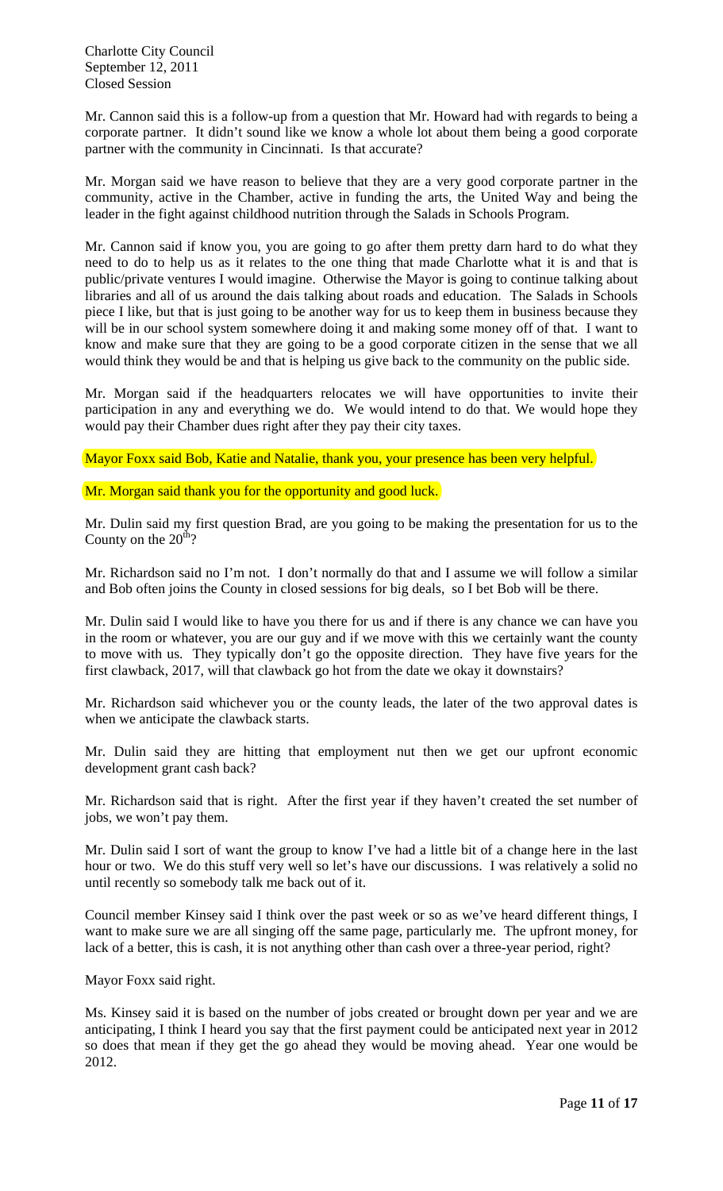Mr. Cannon said this is a follow-up from a question that Mr. Howard had with regards to being a corporate partner. It didn't sound like we know a whole lot about them being a good corporate partner with the community in Cincinnati. Is that accurate?

Mr. Morgan said we have reason to believe that they are a very good corporate partner in the community, active in the Chamber, active in funding the arts, the United Way and being the leader in the fight against childhood nutrition through the Salads in Schools Program.

Mr. Cannon said if know you, you are going to go after them pretty darn hard to do what they need to do to help us as it relates to the one thing that made Charlotte what it is and that is public/private ventures I would imagine. Otherwise the Mayor is going to continue talking about libraries and all of us around the dais talking about roads and education. The Salads in Schools piece I like, but that is just going to be another way for us to keep them in business because they will be in our school system somewhere doing it and making some money off of that. I want to know and make sure that they are going to be a good corporate citizen in the sense that we all would think they would be and that is helping us give back to the community on the public side.

Mr. Morgan said if the headquarters relocates we will have opportunities to invite their participation in any and everything we do. We would intend to do that. We would hope they would pay their Chamber dues right after they pay their city taxes.

Mayor Foxx said Bob, Katie and Natalie, thank you, your presence has been very helpful.

Mr. Morgan said thank you for the opportunity and good luck.

Mr. Dulin said my first question Brad, are you going to be making the presentation for us to the County on the  $20<sup>th</sup>$ ?

Mr. Richardson said no I'm not. I don't normally do that and I assume we will follow a similar and Bob often joins the County in closed sessions for big deals, so I bet Bob will be there.

Mr. Dulin said I would like to have you there for us and if there is any chance we can have you in the room or whatever, you are our guy and if we move with this we certainly want the county to move with us. They typically don't go the opposite direction. They have five years for the first clawback, 2017, will that clawback go hot from the date we okay it downstairs?

Mr. Richardson said whichever you or the county leads, the later of the two approval dates is when we anticipate the clawback starts.

Mr. Dulin said they are hitting that employment nut then we get our upfront economic development grant cash back?

Mr. Richardson said that is right. After the first year if they haven't created the set number of jobs, we won't pay them.

Mr. Dulin said I sort of want the group to know I've had a little bit of a change here in the last hour or two. We do this stuff very well so let's have our discussions. I was relatively a solid no until recently so somebody talk me back out of it.

Council member Kinsey said I think over the past week or so as we've heard different things, I want to make sure we are all singing off the same page, particularly me. The upfront money, for lack of a better, this is cash, it is not anything other than cash over a three-year period, right?

Mayor Foxx said right.

Ms. Kinsey said it is based on the number of jobs created or brought down per year and we are anticipating, I think I heard you say that the first payment could be anticipated next year in 2012 so does that mean if they get the go ahead they would be moving ahead. Year one would be 2012.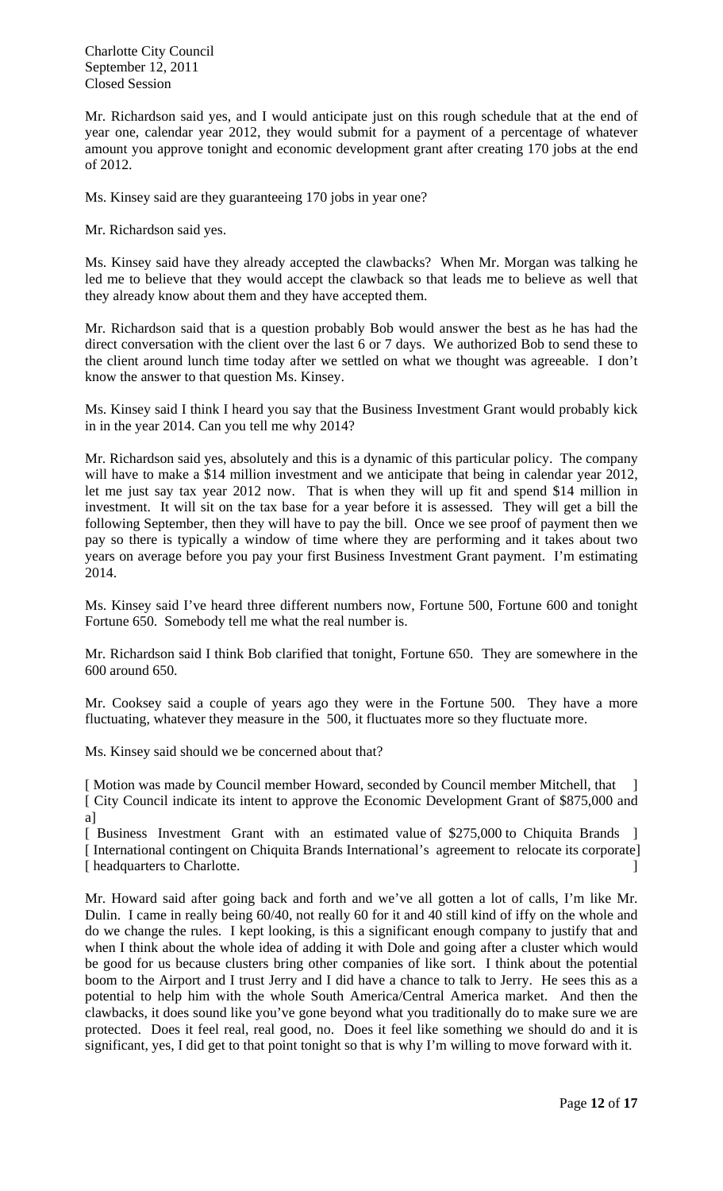Mr. Richardson said yes, and I would anticipate just on this rough schedule that at the end of year one, calendar year 2012, they would submit for a payment of a percentage of whatever amount you approve tonight and economic development grant after creating 170 jobs at the end of 2012.

Ms. Kinsey said are they guaranteeing 170 jobs in year one?

Mr. Richardson said yes.

Ms. Kinsey said have they already accepted the clawbacks? When Mr. Morgan was talking he led me to believe that they would accept the clawback so that leads me to believe as well that they already know about them and they have accepted them.

Mr. Richardson said that is a question probably Bob would answer the best as he has had the direct conversation with the client over the last 6 or 7 days. We authorized Bob to send these to the client around lunch time today after we settled on what we thought was agreeable. I don't know the answer to that question Ms. Kinsey.

Ms. Kinsey said I think I heard you say that the Business Investment Grant would probably kick in in the year 2014. Can you tell me why 2014?

Mr. Richardson said yes, absolutely and this is a dynamic of this particular policy. The company will have to make a \$14 million investment and we anticipate that being in calendar year 2012, let me just say tax year 2012 now. That is when they will up fit and spend \$14 million in investment. It will sit on the tax base for a year before it is assessed. They will get a bill the following September, then they will have to pay the bill. Once we see proof of payment then we pay so there is typically a window of time where they are performing and it takes about two years on average before you pay your first Business Investment Grant payment. I'm estimating 2014.

Ms. Kinsey said I've heard three different numbers now, Fortune 500, Fortune 600 and tonight Fortune 650. Somebody tell me what the real number is.

Mr. Richardson said I think Bob clarified that tonight, Fortune 650. They are somewhere in the 600 around 650.

Mr. Cooksey said a couple of years ago they were in the Fortune 500. They have a more fluctuating, whatever they measure in the 500, it fluctuates more so they fluctuate more.

Ms. Kinsey said should we be concerned about that?

[Motion was made by Council member Howard, seconded by Council member Mitchell, that [ City Council indicate its intent to approve the Economic Development Grant of \$875,000 and a]

[ Business Investment Grant with an estimated value of \$275,000 to Chiquita Brands ] [ International contingent on Chiquita Brands International's agreement to relocate its corporate] [ headquarters to Charlotte. ]

Mr. Howard said after going back and forth and we've all gotten a lot of calls, I'm like Mr. Dulin. I came in really being 60/40, not really 60 for it and 40 still kind of iffy on the whole and do we change the rules. I kept looking, is this a significant enough company to justify that and when I think about the whole idea of adding it with Dole and going after a cluster which would be good for us because clusters bring other companies of like sort. I think about the potential boom to the Airport and I trust Jerry and I did have a chance to talk to Jerry. He sees this as a potential to help him with the whole South America/Central America market. And then the clawbacks, it does sound like you've gone beyond what you traditionally do to make sure we are protected. Does it feel real, real good, no. Does it feel like something we should do and it is significant, yes, I did get to that point tonight so that is why I'm willing to move forward with it.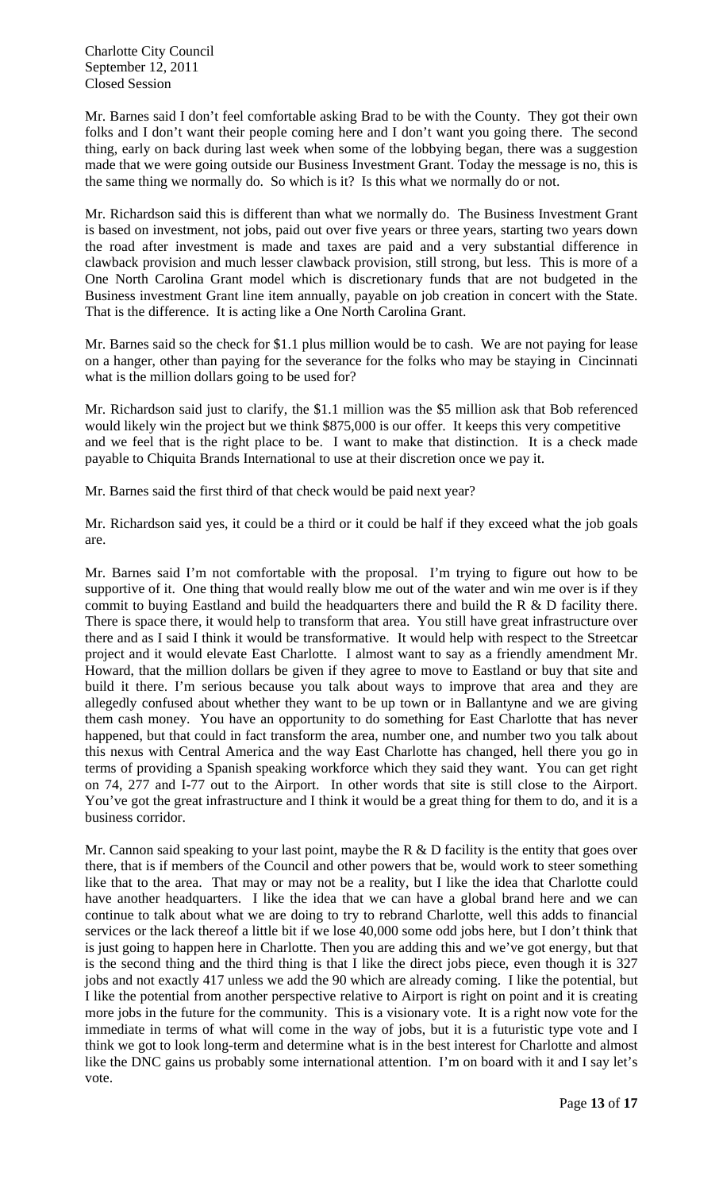Mr. Barnes said I don't feel comfortable asking Brad to be with the County. They got their own folks and I don't want their people coming here and I don't want you going there. The second thing, early on back during last week when some of the lobbying began, there was a suggestion made that we were going outside our Business Investment Grant. Today the message is no, this is the same thing we normally do. So which is it? Is this what we normally do or not.

Mr. Richardson said this is different than what we normally do. The Business Investment Grant is based on investment, not jobs, paid out over five years or three years, starting two years down the road after investment is made and taxes are paid and a very substantial difference in clawback provision and much lesser clawback provision, still strong, but less. This is more of a One North Carolina Grant model which is discretionary funds that are not budgeted in the Business investment Grant line item annually, payable on job creation in concert with the State. That is the difference. It is acting like a One North Carolina Grant.

Mr. Barnes said so the check for \$1.1 plus million would be to cash. We are not paying for lease on a hanger, other than paying for the severance for the folks who may be staying in Cincinnati what is the million dollars going to be used for?

Mr. Richardson said just to clarify, the \$1.1 million was the \$5 million ask that Bob referenced would likely win the project but we think \$875,000 is our offer. It keeps this very competitive and we feel that is the right place to be. I want to make that distinction. It is a check made payable to Chiquita Brands International to use at their discretion once we pay it.

Mr. Barnes said the first third of that check would be paid next year?

Mr. Richardson said yes, it could be a third or it could be half if they exceed what the job goals are.

Mr. Barnes said I'm not comfortable with the proposal. I'm trying to figure out how to be supportive of it. One thing that would really blow me out of the water and win me over is if they commit to buying Eastland and build the headquarters there and build the R & D facility there. There is space there, it would help to transform that area. You still have great infrastructure over there and as I said I think it would be transformative. It would help with respect to the Streetcar project and it would elevate East Charlotte. I almost want to say as a friendly amendment Mr. Howard, that the million dollars be given if they agree to move to Eastland or buy that site and build it there. I'm serious because you talk about ways to improve that area and they are allegedly confused about whether they want to be up town or in Ballantyne and we are giving them cash money. You have an opportunity to do something for East Charlotte that has never happened, but that could in fact transform the area, number one, and number two you talk about this nexus with Central America and the way East Charlotte has changed, hell there you go in terms of providing a Spanish speaking workforce which they said they want. You can get right on 74, 277 and I-77 out to the Airport. In other words that site is still close to the Airport. You've got the great infrastructure and I think it would be a great thing for them to do, and it is a business corridor.

Mr. Cannon said speaking to your last point, maybe the R & D facility is the entity that goes over there, that is if members of the Council and other powers that be, would work to steer something like that to the area. That may or may not be a reality, but I like the idea that Charlotte could have another headquarters. I like the idea that we can have a global brand here and we can continue to talk about what we are doing to try to rebrand Charlotte, well this adds to financial services or the lack thereof a little bit if we lose 40,000 some odd jobs here, but I don't think that is just going to happen here in Charlotte. Then you are adding this and we've got energy, but that is the second thing and the third thing is that I like the direct jobs piece, even though it is 327 jobs and not exactly 417 unless we add the 90 which are already coming. I like the potential, but I like the potential from another perspective relative to Airport is right on point and it is creating more jobs in the future for the community. This is a visionary vote. It is a right now vote for the immediate in terms of what will come in the way of jobs, but it is a futuristic type vote and I think we got to look long-term and determine what is in the best interest for Charlotte and almost like the DNC gains us probably some international attention. I'm on board with it and I say let's vote.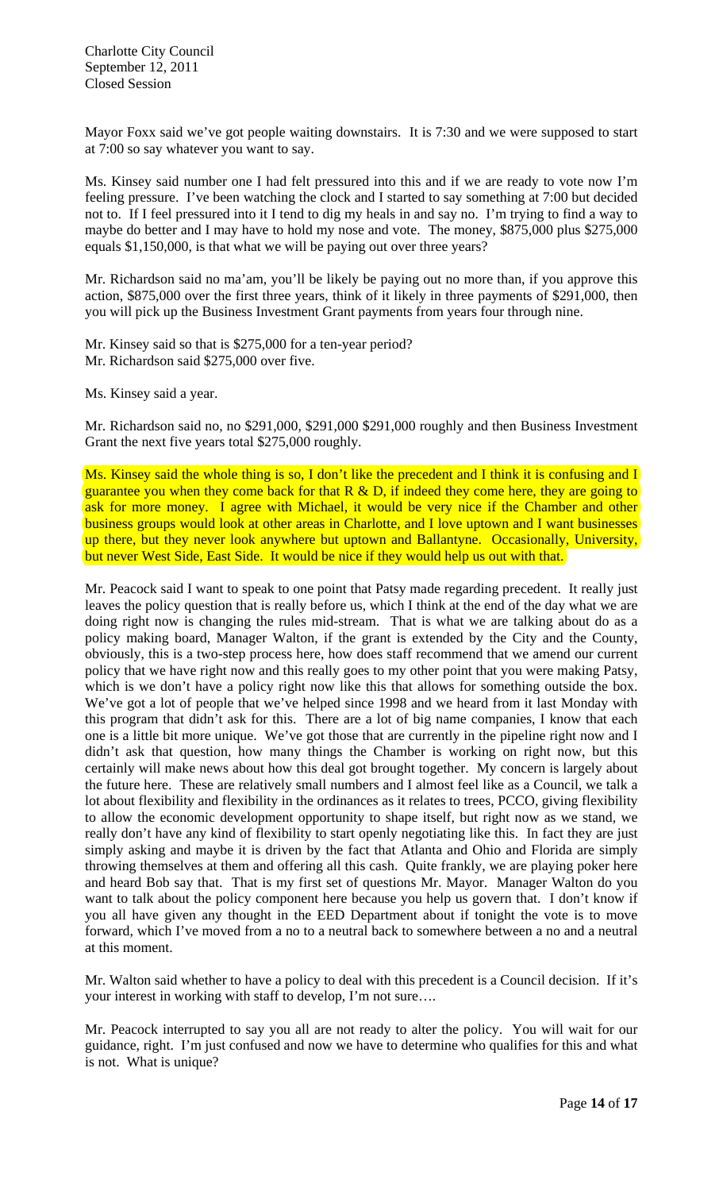Mayor Foxx said we've got people waiting downstairs. It is 7:30 and we were supposed to start at 7:00 so say whatever you want to say.

Ms. Kinsey said number one I had felt pressured into this and if we are ready to vote now I'm feeling pressure. I've been watching the clock and I started to say something at 7:00 but decided not to. If I feel pressured into it I tend to dig my heals in and say no. I'm trying to find a way to maybe do better and I may have to hold my nose and vote. The money, \$875,000 plus \$275,000 equals \$1,150,000, is that what we will be paying out over three years?

Mr. Richardson said no ma'am, you'll be likely be paying out no more than, if you approve this action, \$875,000 over the first three years, think of it likely in three payments of \$291,000, then you will pick up the Business Investment Grant payments from years four through nine.

Mr. Kinsey said so that is \$275,000 for a ten-year period? Mr. Richardson said \$275,000 over five.

Ms. Kinsey said a year.

Mr. Richardson said no, no \$291,000, \$291,000 \$291,000 roughly and then Business Investment Grant the next five years total \$275,000 roughly.

Ms. Kinsey said the whole thing is so, I don't like the precedent and I think it is confusing and I guarantee you when they come back for that  $R \& D$ , if indeed they come here, they are going to ask for more money. I agree with Michael, it would be very nice if the Chamber and other business groups would look at other areas in Charlotte, and I love uptown and I want businesses up there, but they never look anywhere but uptown and Ballantyne. Occasionally, University, but never West Side, East Side. It would be nice if they would help us out with that.

Mr. Peacock said I want to speak to one point that Patsy made regarding precedent. It really just leaves the policy question that is really before us, which I think at the end of the day what we are doing right now is changing the rules mid-stream. That is what we are talking about do as a policy making board, Manager Walton, if the grant is extended by the City and the County, obviously, this is a two-step process here, how does staff recommend that we amend our current policy that we have right now and this really goes to my other point that you were making Patsy, which is we don't have a policy right now like this that allows for something outside the box. We've got a lot of people that we've helped since 1998 and we heard from it last Monday with this program that didn't ask for this. There are a lot of big name companies, I know that each one is a little bit more unique. We've got those that are currently in the pipeline right now and I didn't ask that question, how many things the Chamber is working on right now, but this certainly will make news about how this deal got brought together. My concern is largely about the future here. These are relatively small numbers and I almost feel like as a Council, we talk a lot about flexibility and flexibility in the ordinances as it relates to trees, PCCO, giving flexibility to allow the economic development opportunity to shape itself, but right now as we stand, we really don't have any kind of flexibility to start openly negotiating like this. In fact they are just simply asking and maybe it is driven by the fact that Atlanta and Ohio and Florida are simply throwing themselves at them and offering all this cash. Quite frankly, we are playing poker here and heard Bob say that. That is my first set of questions Mr. Mayor. Manager Walton do you want to talk about the policy component here because you help us govern that. I don't know if you all have given any thought in the EED Department about if tonight the vote is to move forward, which I've moved from a no to a neutral back to somewhere between a no and a neutral at this moment.

Mr. Walton said whether to have a policy to deal with this precedent is a Council decision. If it's your interest in working with staff to develop, I'm not sure….

Mr. Peacock interrupted to say you all are not ready to alter the policy. You will wait for our guidance, right. I'm just confused and now we have to determine who qualifies for this and what is not. What is unique?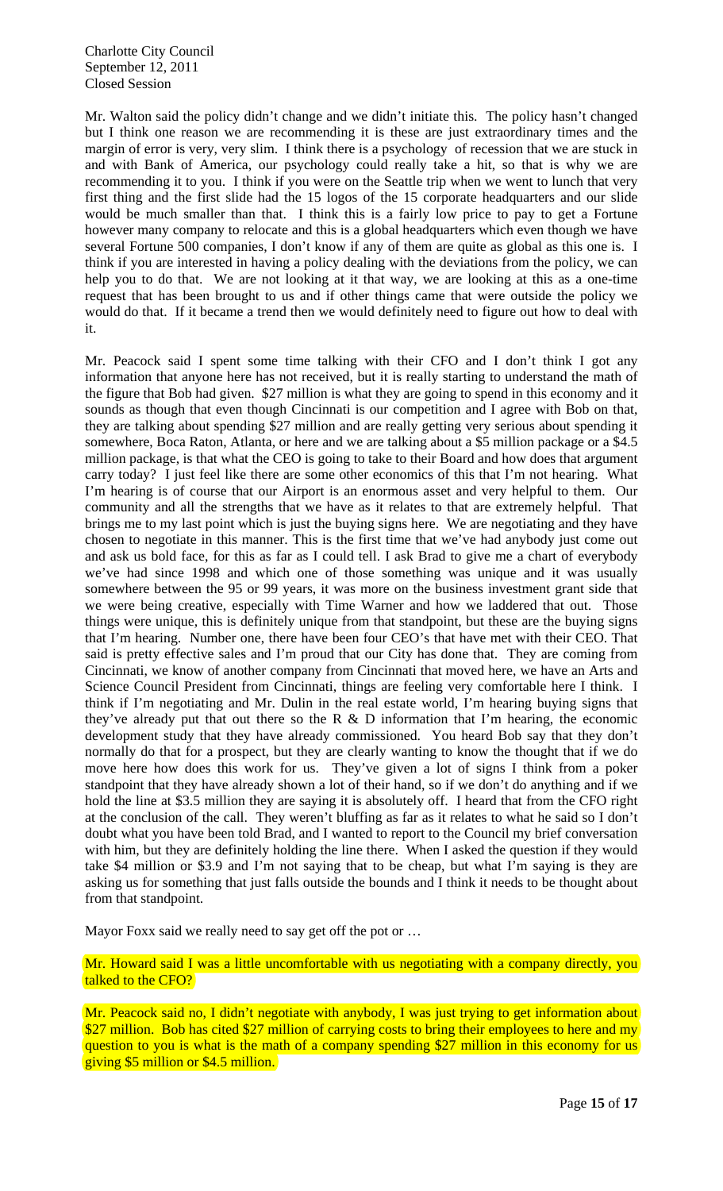Mr. Walton said the policy didn't change and we didn't initiate this. The policy hasn't changed but I think one reason we are recommending it is these are just extraordinary times and the margin of error is very, very slim. I think there is a psychology of recession that we are stuck in and with Bank of America, our psychology could really take a hit, so that is why we are recommending it to you. I think if you were on the Seattle trip when we went to lunch that very first thing and the first slide had the 15 logos of the 15 corporate headquarters and our slide would be much smaller than that. I think this is a fairly low price to pay to get a Fortune however many company to relocate and this is a global headquarters which even though we have several Fortune 500 companies, I don't know if any of them are quite as global as this one is. I think if you are interested in having a policy dealing with the deviations from the policy, we can help you to do that. We are not looking at it that way, we are looking at this as a one-time request that has been brought to us and if other things came that were outside the policy we would do that. If it became a trend then we would definitely need to figure out how to deal with it.

Mr. Peacock said I spent some time talking with their CFO and I don't think I got any information that anyone here has not received, but it is really starting to understand the math of the figure that Bob had given. \$27 million is what they are going to spend in this economy and it sounds as though that even though Cincinnati is our competition and I agree with Bob on that, they are talking about spending \$27 million and are really getting very serious about spending it somewhere, Boca Raton, Atlanta, or here and we are talking about a \$5 million package or a \$4.5 million package, is that what the CEO is going to take to their Board and how does that argument carry today? I just feel like there are some other economics of this that I'm not hearing. What I'm hearing is of course that our Airport is an enormous asset and very helpful to them. Our community and all the strengths that we have as it relates to that are extremely helpful. That brings me to my last point which is just the buying signs here. We are negotiating and they have chosen to negotiate in this manner. This is the first time that we've had anybody just come out and ask us bold face, for this as far as I could tell. I ask Brad to give me a chart of everybody we've had since 1998 and which one of those something was unique and it was usually somewhere between the 95 or 99 years, it was more on the business investment grant side that we were being creative, especially with Time Warner and how we laddered that out. Those things were unique, this is definitely unique from that standpoint, but these are the buying signs that I'm hearing. Number one, there have been four CEO's that have met with their CEO. That said is pretty effective sales and I'm proud that our City has done that. They are coming from Cincinnati, we know of another company from Cincinnati that moved here, we have an Arts and Science Council President from Cincinnati, things are feeling very comfortable here I think. I think if I'm negotiating and Mr. Dulin in the real estate world, I'm hearing buying signs that they've already put that out there so the R  $\&$  D information that I'm hearing, the economic development study that they have already commissioned. You heard Bob say that they don't normally do that for a prospect, but they are clearly wanting to know the thought that if we do move here how does this work for us. They've given a lot of signs I think from a poker standpoint that they have already shown a lot of their hand, so if we don't do anything and if we hold the line at \$3.5 million they are saying it is absolutely off. I heard that from the CFO right at the conclusion of the call. They weren't bluffing as far as it relates to what he said so I don't doubt what you have been told Brad, and I wanted to report to the Council my brief conversation with him, but they are definitely holding the line there. When I asked the question if they would take \$4 million or \$3.9 and I'm not saying that to be cheap, but what I'm saying is they are asking us for something that just falls outside the bounds and I think it needs to be thought about from that standpoint.

Mayor Foxx said we really need to say get off the pot or …

Mr. Howard said I was a little uncomfortable with us negotiating with a company directly, you talked to the CFO?

Mr. Peacock said no, I didn't negotiate with anybody, I was just trying to get information about \$27 million. Bob has cited \$27 million of carrying costs to bring their employees to here and my question to you is what is the math of a company spending \$27 million in this economy for us giving \$5 million or \$4.5 million.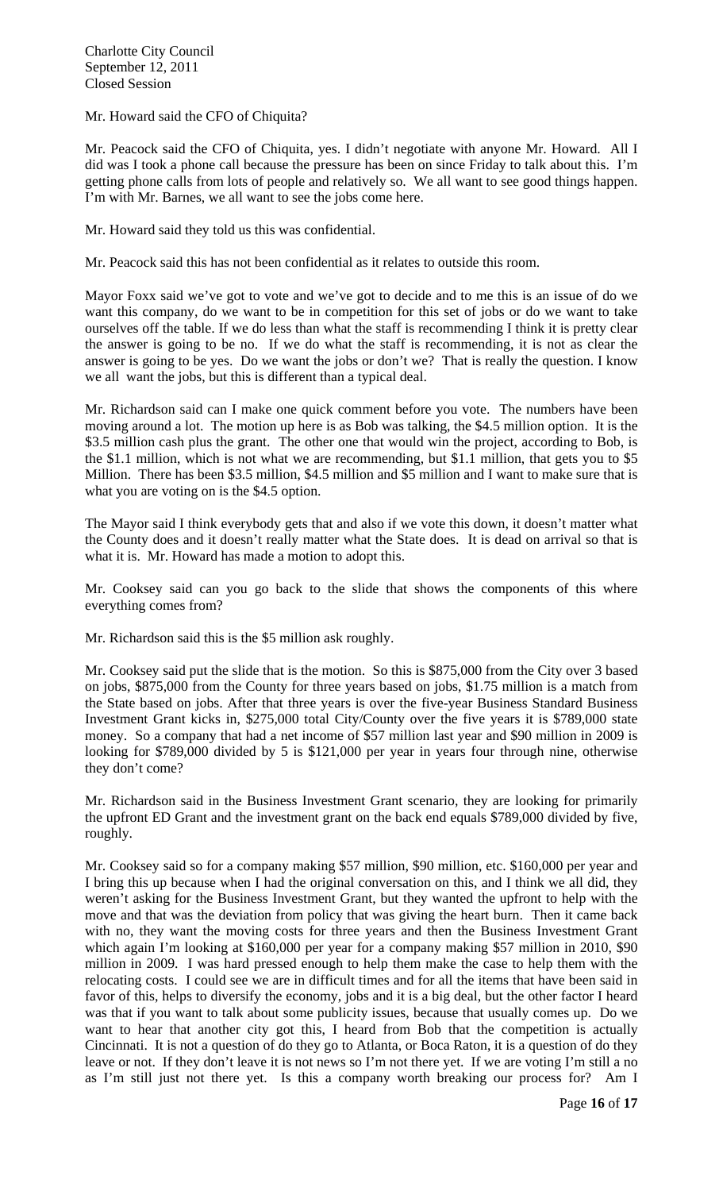Mr. Howard said the CFO of Chiquita?

Mr. Peacock said the CFO of Chiquita, yes. I didn't negotiate with anyone Mr. Howard. All I did was I took a phone call because the pressure has been on since Friday to talk about this. I'm getting phone calls from lots of people and relatively so. We all want to see good things happen. I'm with Mr. Barnes, we all want to see the jobs come here.

Mr. Howard said they told us this was confidential.

Mr. Peacock said this has not been confidential as it relates to outside this room.

Mayor Foxx said we've got to vote and we've got to decide and to me this is an issue of do we want this company, do we want to be in competition for this set of jobs or do we want to take ourselves off the table. If we do less than what the staff is recommending I think it is pretty clear the answer is going to be no. If we do what the staff is recommending, it is not as clear the answer is going to be yes. Do we want the jobs or don't we? That is really the question. I know we all want the jobs, but this is different than a typical deal.

Mr. Richardson said can I make one quick comment before you vote. The numbers have been moving around a lot. The motion up here is as Bob was talking, the \$4.5 million option. It is the \$3.5 million cash plus the grant. The other one that would win the project, according to Bob, is the \$1.1 million, which is not what we are recommending, but \$1.1 million, that gets you to \$5 Million. There has been \$3.5 million, \$4.5 million and \$5 million and I want to make sure that is what you are voting on is the \$4.5 option.

The Mayor said I think everybody gets that and also if we vote this down, it doesn't matter what the County does and it doesn't really matter what the State does. It is dead on arrival so that is what it is. Mr. Howard has made a motion to adopt this.

Mr. Cooksey said can you go back to the slide that shows the components of this where everything comes from?

Mr. Richardson said this is the \$5 million ask roughly.

Mr. Cooksey said put the slide that is the motion. So this is \$875,000 from the City over 3 based on jobs, \$875,000 from the County for three years based on jobs, \$1.75 million is a match from the State based on jobs. After that three years is over the five-year Business Standard Business Investment Grant kicks in, \$275,000 total City/County over the five years it is \$789,000 state money. So a company that had a net income of \$57 million last year and \$90 million in 2009 is looking for \$789,000 divided by 5 is \$121,000 per year in years four through nine, otherwise they don't come?

Mr. Richardson said in the Business Investment Grant scenario, they are looking for primarily the upfront ED Grant and the investment grant on the back end equals \$789,000 divided by five, roughly.

Mr. Cooksey said so for a company making \$57 million, \$90 million, etc. \$160,000 per year and I bring this up because when I had the original conversation on this, and I think we all did, they weren't asking for the Business Investment Grant, but they wanted the upfront to help with the move and that was the deviation from policy that was giving the heart burn. Then it came back with no, they want the moving costs for three years and then the Business Investment Grant which again I'm looking at \$160,000 per year for a company making \$57 million in 2010, \$90 million in 2009. I was hard pressed enough to help them make the case to help them with the relocating costs. I could see we are in difficult times and for all the items that have been said in favor of this, helps to diversify the economy, jobs and it is a big deal, but the other factor I heard was that if you want to talk about some publicity issues, because that usually comes up. Do we want to hear that another city got this, I heard from Bob that the competition is actually Cincinnati. It is not a question of do they go to Atlanta, or Boca Raton, it is a question of do they leave or not. If they don't leave it is not news so I'm not there yet. If we are voting I'm still a no as I'm still just not there yet. Is this a company worth breaking our process for? Am I